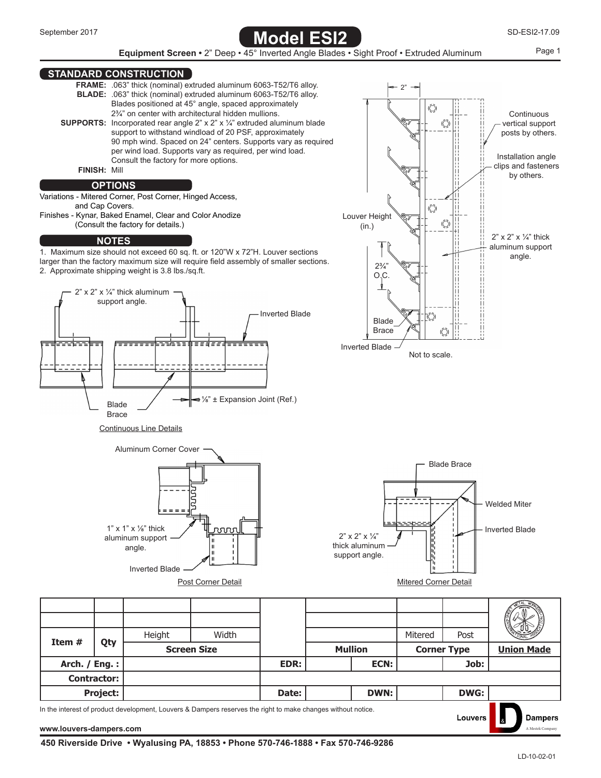



## **STANDARD CONSTRUCTION**



In the interest of product development, Louvers & Dampers reserves the right to make changes without notice.

**[www.louvers-dampers.com](http://louvers-dampers.com)** [A Mestek Company](http://louvers-dampers.com) and a Mestek Company of the set of the set of the set of the set of the set of the set of the set of the set of the set of the set of the set of the set of the set of the set of t

**Dampers** 

Louvers